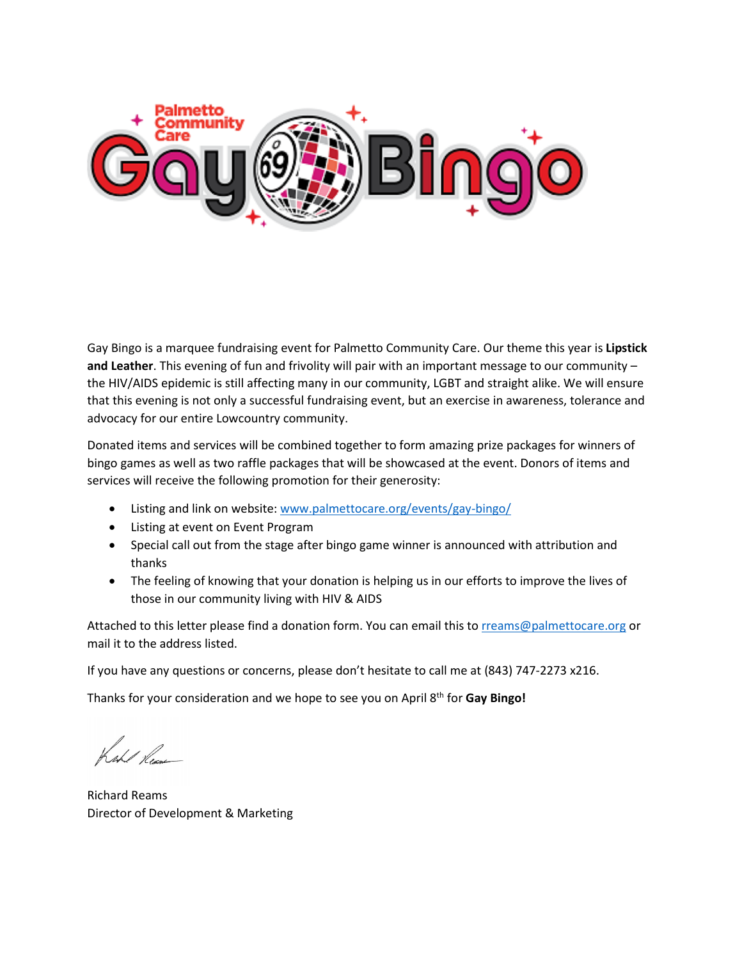

Gay Bingo is a marquee fundraising event for Palmetto Community Care. Our theme this year is **Lipstick and Leather**. This evening of fun and frivolity will pair with an important message to our community – the HIV/AIDS epidemic is still affecting many in our community, LGBT and straight alike. We will ensure that this evening is not only a successful fundraising event, but an exercise in awareness, tolerance and advocacy for our entire Lowcountry community.

Donated items and services will be combined together to form amazing prize packages for winners of bingo games as well as two raffle packages that will be showcased at the event. Donors of items and services will receive the following promotion for their generosity:

- Listing and link on website: [www.palmettocare.org/events/gay-bingo/](http://www.palmettocare.org/events/gay-bingo/)
- Listing at event on Event Program
- Special call out from the stage after bingo game winner is announced with attribution and thanks
- The feeling of knowing that your donation is helping us in our efforts to improve the lives of those in our community living with HIV & AIDS

Attached to this letter please find a donation form. You can email this t[o rreams@palmettocare.org](mailto:rreams@palmettocare.org) or mail it to the address listed.

If you have any questions or concerns, please don't hesitate to call me at (843) 747-2273 x216.

Thanks for your consideration and we hope to see you on April 8th for **Gay Bingo!**

Kehl Pen

Richard Reams Director of Development & Marketing